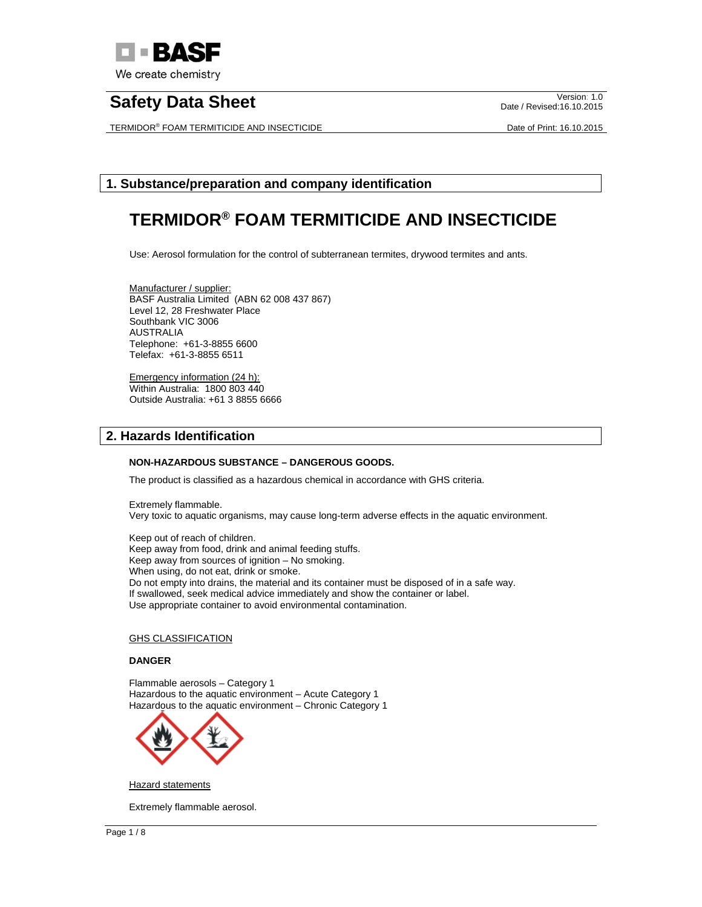

TERMIDOR® FOAM TERMITICIDE AND INSECTICIDE **Example 2011** 2015 Date of Print: 16.10.2015

Date / Revised:16.10.2015

# **1. Substance/preparation and company identification**

# **TERMIDOR® FOAM TERMITICIDE AND INSECTICIDE**

Use: Aerosol formulation for the control of subterranean termites, drywood termites and ants.

Manufacturer / supplier: BASF Australia Limited (ABN 62 008 437 867) Level 12, 28 Freshwater Place Southbank VIC 3006 AUSTRALIA Telephone: +61-3-8855 6600 Telefax: +61-3-8855 6511

Emergency information (24 h): Within Australia: 1800 803 440 Outside Australia: +61 3 8855 6666

# **2. Hazards Identification**

## **NON-HAZARDOUS SUBSTANCE – DANGEROUS GOODS.**

The product is classified as a hazardous chemical in accordance with GHS criteria.

Extremely flammable. Very toxic to aquatic organisms, may cause long-term adverse effects in the aquatic environment.

Keep out of reach of children. Keep away from food, drink and animal feeding stuffs. Keep away from sources of ignition – No smoking. When using, do not eat, drink or smoke. Do not empty into drains, the material and its container must be disposed of in a safe way. If swallowed, seek medical advice immediately and show the container or label. Use appropriate container to avoid environmental contamination.

## GHS CLASSIFICATION

# **DANGER**

Flammable aerosols – Category 1 Hazardous to the aquatic environment – Acute Category 1 Hazardous to the aquatic environment – Chronic Category 1



Hazard statements

Extremely flammable aerosol.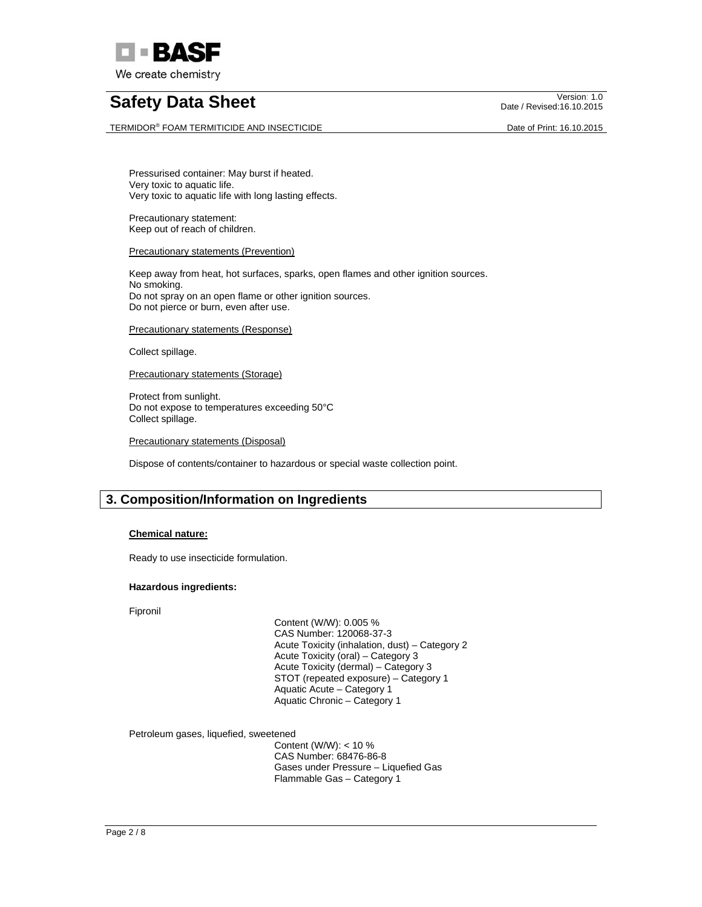

TERMIDOR® FOAM TERMITICIDE AND INSECTICIDE **Example 2011** 2015 Date of Print: 16.10.2015

Date / Revised:16.10.2015

Pressurised container: May burst if heated. Very toxic to aquatic life. Very toxic to aquatic life with long lasting effects.

Precautionary statement: Keep out of reach of children.

# **Precautionary statements (Prevention)**

Keep away from heat, hot surfaces, sparks, open flames and other ignition sources. No smoking. Do not spray on an open flame or other ignition sources. Do not pierce or burn, even after use.

Precautionary statements (Response)

Collect spillage.

Precautionary statements (Storage)

Protect from sunlight. Do not expose to temperatures exceeding 50°C Collect spillage.

Precautionary statements (Disposal)

Dispose of contents/container to hazardous or special waste collection point.

# **3. Composition/Information on Ingredients**

## **Chemical nature:**

Ready to use insecticide formulation.

### **Hazardous ingredients:**

Fipronil

 Content (W/W): 0.005 % CAS Number: 120068-37-3 Acute Toxicity (inhalation, dust) – Category 2 Acute Toxicity (oral) – Category 3 Acute Toxicity (dermal) – Category 3 STOT (repeated exposure) – Category 1 Aquatic Acute – Category 1 Aquatic Chronic – Category 1

Petroleum gases, liquefied, sweetened

 Content (W/W): < 10 % CAS Number: 68476-86-8 Gases under Pressure – Liquefied Gas Flammable Gas – Category 1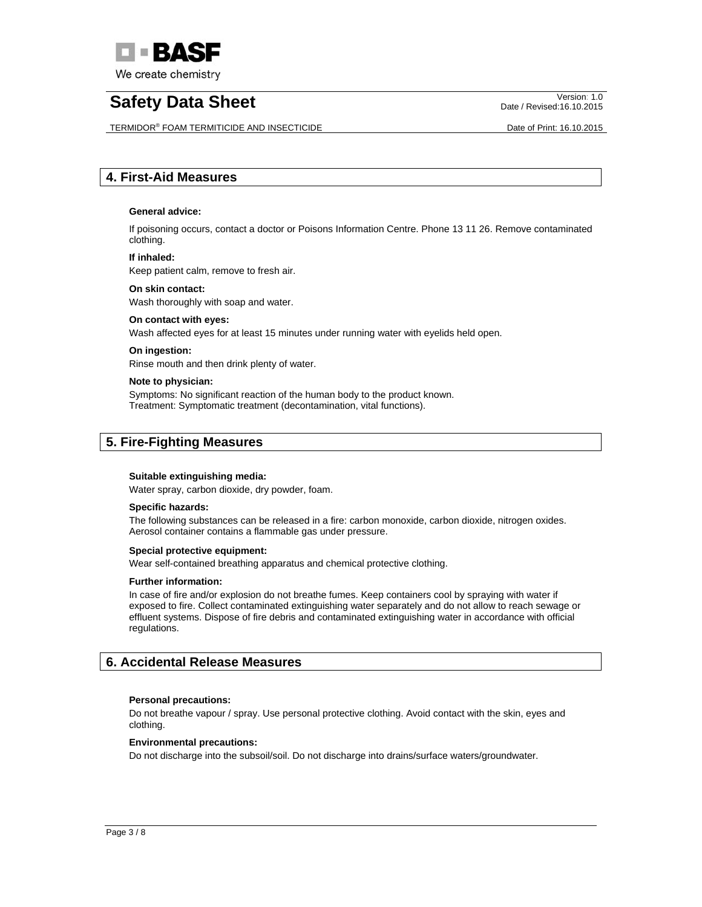

TERMIDOR® FOAM TERMITICIDE AND INSECTICIDE **Example 2011** 2015 Date of Print: 16.10.2015

Date / Revised:16.10.2015

# **4. First-Aid Measures**

## **General advice:**

If poisoning occurs, contact a doctor or Poisons Information Centre. Phone 13 11 26. Remove contaminated clothing.

## **If inhaled:**

Keep patient calm, remove to fresh air.

### **On skin contact:**

Wash thoroughly with soap and water.

### **On contact with eyes:**

Wash affected eyes for at least 15 minutes under running water with eyelids held open.

### **On ingestion:**

Rinse mouth and then drink plenty of water.

#### **Note to physician:**

Symptoms: No significant reaction of the human body to the product known. Treatment: Symptomatic treatment (decontamination, vital functions).

# **5. Fire-Fighting Measures**

#### **Suitable extinguishing media:**

Water spray, carbon dioxide, dry powder, foam.

### **Specific hazards:**

The following substances can be released in a fire: carbon monoxide, carbon dioxide, nitrogen oxides. Aerosol container contains a flammable gas under pressure.

#### **Special protective equipment:**

Wear self-contained breathing apparatus and chemical protective clothing.

#### **Further information:**

In case of fire and/or explosion do not breathe fumes. Keep containers cool by spraying with water if exposed to fire. Collect contaminated extinguishing water separately and do not allow to reach sewage or effluent systems. Dispose of fire debris and contaminated extinguishing water in accordance with official regulations.

# **6. Accidental Release Measures**

## **Personal precautions:**

Do not breathe vapour / spray. Use personal protective clothing. Avoid contact with the skin, eyes and clothing.

#### **Environmental precautions:**

Do not discharge into the subsoil/soil. Do not discharge into drains/surface waters/groundwater.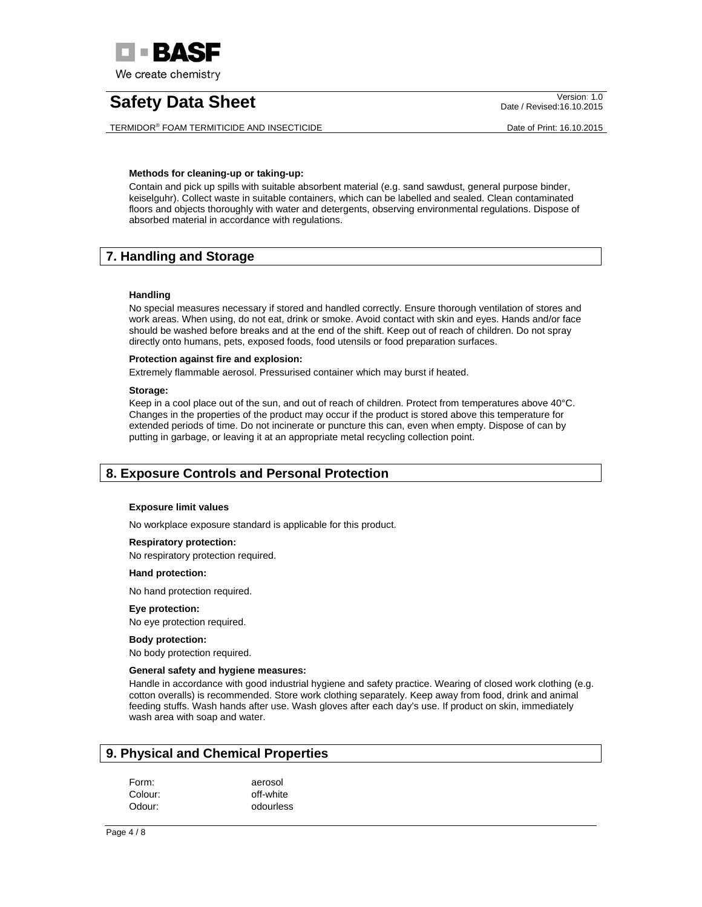

TERMIDOR® FOAM TERMITICIDE AND INSECTICIDE **Example 2011** 2015 Date of Print: 16.10.2015

Date / Revised:16.10.2015

## **Methods for cleaning-up or taking-up:**

Contain and pick up spills with suitable absorbent material (e.g. sand sawdust, general purpose binder, keiselguhr). Collect waste in suitable containers, which can be labelled and sealed. Clean contaminated floors and objects thoroughly with water and detergents, observing environmental regulations. Dispose of absorbed material in accordance with regulations.

# **7. Handling and Storage**

# **Handling**

No special measures necessary if stored and handled correctly. Ensure thorough ventilation of stores and work areas. When using, do not eat, drink or smoke. Avoid contact with skin and eyes. Hands and/or face should be washed before breaks and at the end of the shift. Keep out of reach of children. Do not spray directly onto humans, pets, exposed foods, food utensils or food preparation surfaces.

# **Protection against fire and explosion:**

Extremely flammable aerosol. Pressurised container which may burst if heated.

## **Storage:**

Keep in a cool place out of the sun, and out of reach of children. Protect from temperatures above 40°C. Changes in the properties of the product may occur if the product is stored above this temperature for extended periods of time. Do not incinerate or puncture this can, even when empty. Dispose of can by putting in garbage, or leaving it at an appropriate metal recycling collection point.

# **8. Exposure Controls and Personal Protection**

## **Exposure limit values**

No workplace exposure standard is applicable for this product.

## **Respiratory protection:**

No respiratory protection required.

## **Hand protection:**

No hand protection required.

## **Eye protection:**

No eye protection required.

## **Body protection:**

No body protection required.

## **General safety and hygiene measures:**

Handle in accordance with good industrial hygiene and safety practice. Wearing of closed work clothing (e.g. cotton overalls) is recommended. Store work clothing separately. Keep away from food, drink and animal feeding stuffs. Wash hands after use. Wash gloves after each day's use. If product on skin, immediately wash area with soap and water.

# **9. Physical and Chemical Properties**

| Form:   | aerosol   |
|---------|-----------|
| Colour: | off-white |
| Odour:  | odourless |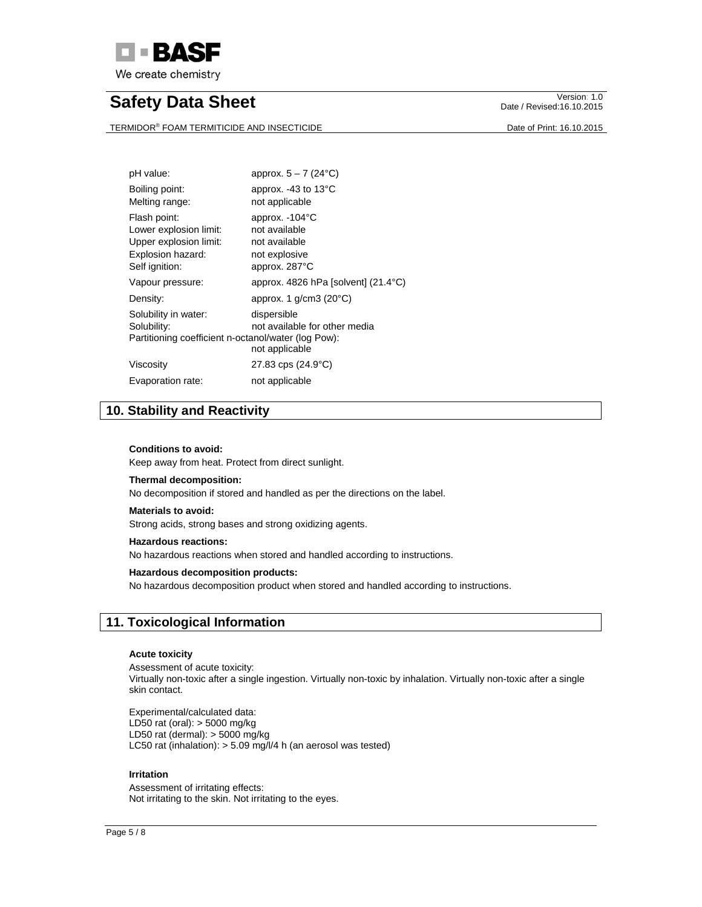

TERMIDOR® FOAM TERMITICIDE AND INSECTICIDE **Example 2011** 2015 Date of Print: 16.10.2015

Date / Revised:16.10.2015

| pH value:                                                                                               | approx. $5 - 7$ (24 $^{\circ}$ C)                                                  |
|---------------------------------------------------------------------------------------------------------|------------------------------------------------------------------------------------|
| Boiling point:<br>Melting range:                                                                        | approx. -43 to 13°C<br>not applicable                                              |
| Flash point:<br>Lower explosion limit:<br>Upper explosion limit:<br>Explosion hazard:<br>Self ignition: | approx. -104°C<br>not available<br>not available<br>not explosive<br>approx. 287°C |
| Vapour pressure:                                                                                        | approx. $4826$ hPa [solvent] (21.4 $^{\circ}$ C)                                   |
| Density:                                                                                                | approx. 1 $g/cm3$ (20 $°C$ )                                                       |
| Solubility in water:<br>Solubility:<br>Partitioning coefficient n-octanol/water (log Pow):              | dispersible<br>not available for other media<br>not applicable                     |
| Viscosity                                                                                               | $27.83$ cps $(24.9^{\circ}C)$                                                      |
| Evaporation rate:                                                                                       | not applicable                                                                     |

# **10. Stability and Reactivity**

## **Conditions to avoid:**

Keep away from heat. Protect from direct sunlight.

#### **Thermal decomposition:**

No decomposition if stored and handled as per the directions on the label.

#### **Materials to avoid:**

Strong acids, strong bases and strong oxidizing agents.

# **Hazardous reactions:**

No hazardous reactions when stored and handled according to instructions.

## **Hazardous decomposition products:**

No hazardous decomposition product when stored and handled according to instructions.

# **11. Toxicological Information**

### **Acute toxicity**

Assessment of acute toxicity: Virtually non-toxic after a single ingestion. Virtually non-toxic by inhalation. Virtually non-toxic after a single skin contact.

Experimental/calculated data: LD50 rat (oral): > 5000 mg/kg LD50 rat (dermal):  $>$  5000 mg/kg LC50 rat (inhalation): > 5.09 mg/l/4 h (an aerosol was tested)

## **Irritation**

Assessment of irritating effects: Not irritating to the skin. Not irritating to the eyes.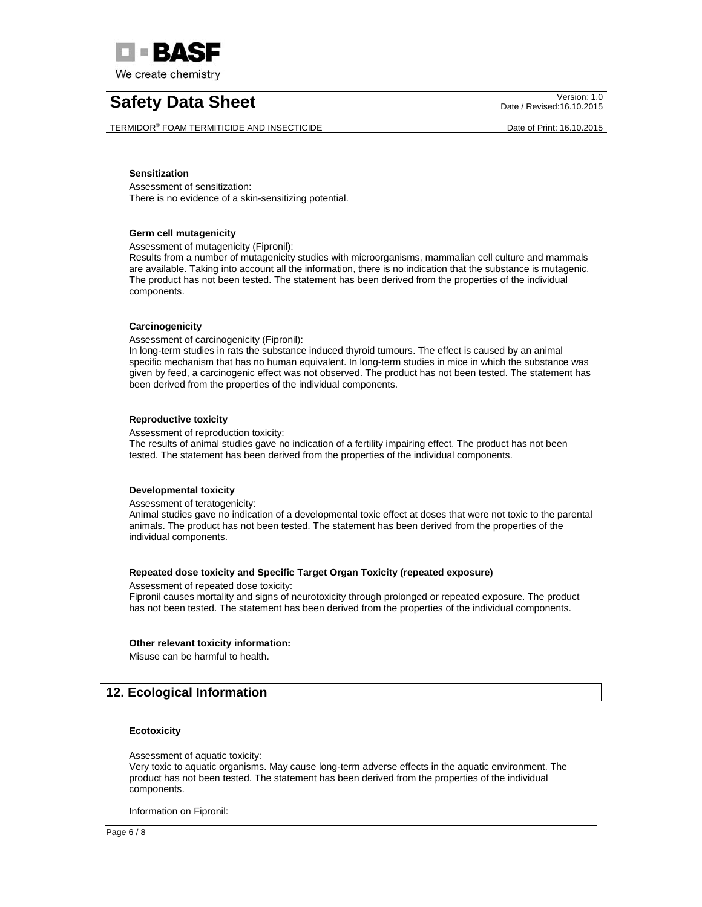

TERMIDOR® FOAM TERMITICIDE AND INSECTICIDE **Example 2011** 2015 Date of Print: 16.10.2015

Date / Revised:16.10.2015

### **Sensitization**

Assessment of sensitization: There is no evidence of a skin-sensitizing potential.

### **Germ cell mutagenicity**

Assessment of mutagenicity (Fipronil):

Results from a number of mutagenicity studies with microorganisms, mammalian cell culture and mammals are available. Taking into account all the information, there is no indication that the substance is mutagenic. The product has not been tested. The statement has been derived from the properties of the individual components.

### **Carcinogenicity**

Assessment of carcinogenicity (Fipronil):

In long-term studies in rats the substance induced thyroid tumours. The effect is caused by an animal specific mechanism that has no human equivalent. In long-term studies in mice in which the substance was given by feed, a carcinogenic effect was not observed. The product has not been tested. The statement has been derived from the properties of the individual components.

### **Reproductive toxicity**

Assessment of reproduction toxicity:

The results of animal studies gave no indication of a fertility impairing effect. The product has not been tested. The statement has been derived from the properties of the individual components.

## **Developmental toxicity**

Assessment of teratogenicity:

Animal studies gave no indication of a developmental toxic effect at doses that were not toxic to the parental animals. The product has not been tested. The statement has been derived from the properties of the individual components.

### **Repeated dose toxicity and Specific Target Organ Toxicity (repeated exposure)**

Assessment of repeated dose toxicity: Fipronil causes mortality and signs of neurotoxicity through prolonged or repeated exposure. The product has not been tested. The statement has been derived from the properties of the individual components.

#### **Other relevant toxicity information:**

Misuse can be harmful to health.

# **12. Ecological Information**

## **Ecotoxicity**

Assessment of aquatic toxicity:

Very toxic to aquatic organisms. May cause long-term adverse effects in the aquatic environment. The product has not been tested. The statement has been derived from the properties of the individual components.

Information on Fipronil: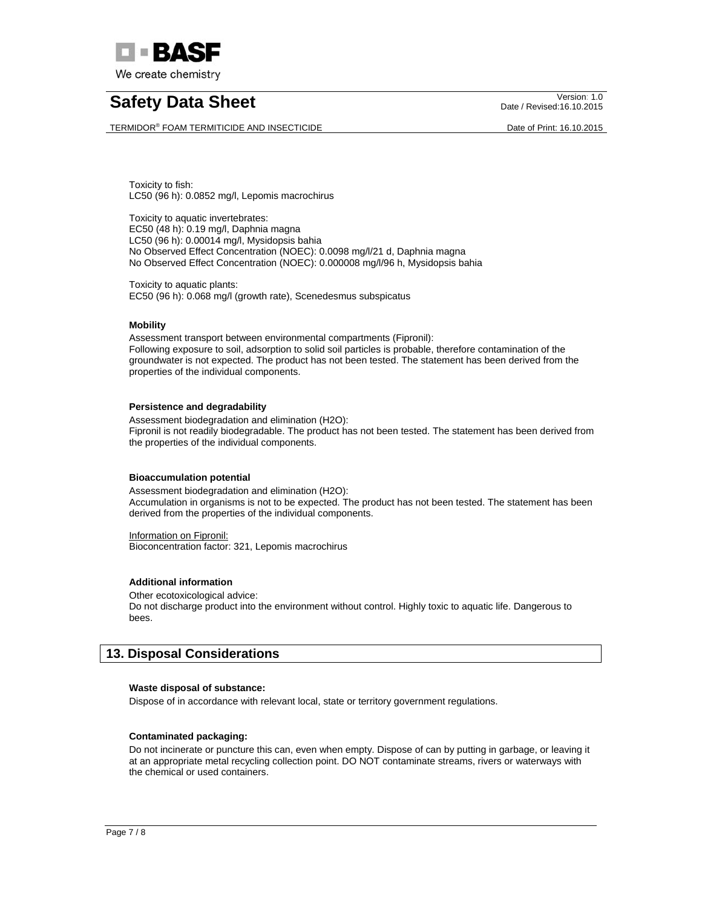

TERMIDOR® FOAM TERMITICIDE AND INSECTICIDE **Example 2011** Date of Print: 16.10.2015

Date / Revised:16.10.2015

Toxicity to fish: LC50 (96 h): 0.0852 mg/l, Lepomis macrochirus

Toxicity to aquatic invertebrates: EC50 (48 h): 0.19 mg/l, Daphnia magna LC50 (96 h): 0.00014 mg/l, Mysidopsis bahia No Observed Effect Concentration (NOEC): 0.0098 mg/l/21 d, Daphnia magna No Observed Effect Concentration (NOEC): 0.000008 mg/l/96 h, Mysidopsis bahia

Toxicity to aquatic plants: EC50 (96 h): 0.068 mg/l (growth rate), Scenedesmus subspicatus

# **Mobility**

Assessment transport between environmental compartments (Fipronil): Following exposure to soil, adsorption to solid soil particles is probable, therefore contamination of the groundwater is not expected. The product has not been tested. The statement has been derived from the properties of the individual components.

# **Persistence and degradability**

Assessment biodegradation and elimination (H2O): Fipronil is not readily biodegradable. The product has not been tested. The statement has been derived from the properties of the individual components.

## **Bioaccumulation potential**

Assessment biodegradation and elimination (H2O): Accumulation in organisms is not to be expected. The product has not been tested. The statement has been derived from the properties of the individual components.

Information on Fipronil: Bioconcentration factor: 321, Lepomis macrochirus

# **Additional information**

Other ecotoxicological advice: Do not discharge product into the environment without control. Highly toxic to aquatic life. Dangerous to bees.

# **13. Disposal Considerations**

## **Waste disposal of substance:**

Dispose of in accordance with relevant local, state or territory government regulations.

# **Contaminated packaging:**

Do not incinerate or puncture this can, even when empty. Dispose of can by putting in garbage, or leaving it at an appropriate metal recycling collection point. DO NOT contaminate streams, rivers or waterways with the chemical or used containers.